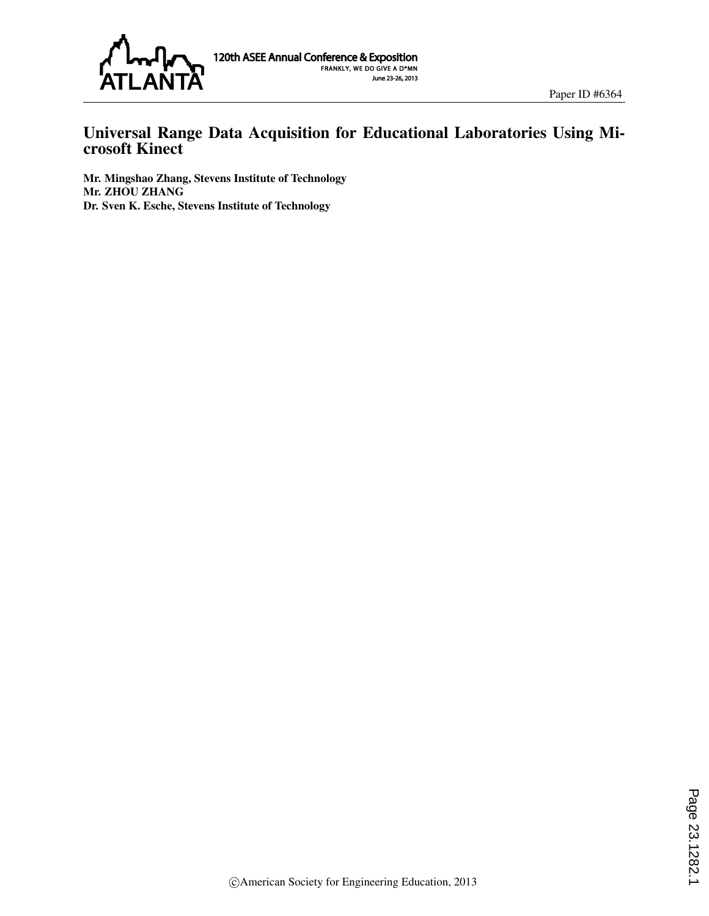

## Universal Range Data Acquisition for Educational Laboratories Using Microsoft Kinect

Mr. Mingshao Zhang, Stevens Institute of Technology Mr. ZHOU ZHANG Dr. Sven K. Esche, Stevens Institute of Technology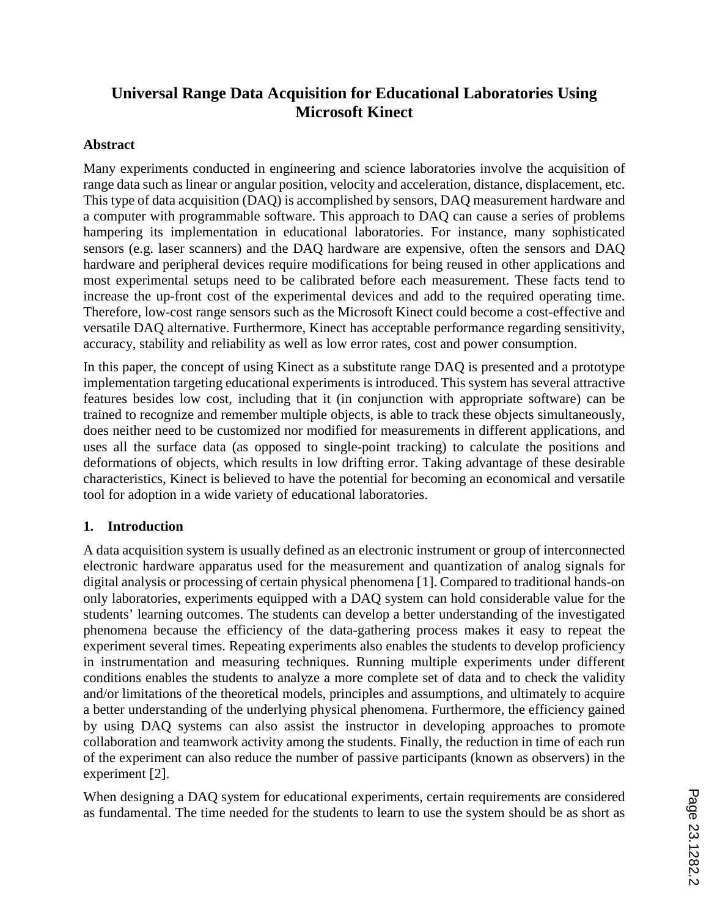# **Universal Range Data Acquisition for Educational Laboratories Using Microsoft Kinect**

#### **Abstract**

Many experiments conducted in engineering and science laboratories involve the acquisition of range data such as linear or angular position, velocity and acceleration, distance, displacement, etc. This type of data acquisition (DAQ) is accomplished by sensors, DAQ measurement hardware and a computer with programmable software. This approach to DAQ can cause a series of problems hampering its implementation in educational laboratories. For instance, many sophisticated sensors (e.g. laser scanners) and the DAQ hardware are expensive, often the sensors and DAQ hardware and peripheral devices require modifications for being reused in other applications and most experimental setups need to be calibrated before each measurement. These facts tend to increase the up-front cost of the experimental devices and add to the required operating time. Therefore, low-cost range sensors such as the Microsoft Kinect could become a cost-effective and versatile DAQ alternative. Furthermore, Kinect has acceptable performance regarding sensitivity, accuracy, stability and reliability as well as low error rates, cost and power consumption.

In this paper, the concept of using Kinect as a substitute range DAQ is presented and a prototype implementation targeting educational experiments is introduced. This system has several attractive features besides low cost, including that it (in conjunction with appropriate software) can be trained to recognize and remember multiple objects, is able to track these objects simultaneously, does neither need to be customized nor modified for measurements in different applications, and uses all the surface data (as opposed to single-point tracking) to calculate the positions and deformations of objects, which results in low drifting error. Taking advantage of these desirable characteristics, Kinect is believed to have the potential for becoming an economical and versatile tool for adoption in a wide variety of educational laboratories.

#### **1. Introduction**

A data acquisition system is usually defined as an electronic instrument or group of interconnected electronic hardware apparatus used for the measurement and quantization of analog signals for digital analysis or processing of certain physical phenomena [1]. Compared to traditional hands-on only laboratories, experiments equipped with a DAQ system can hold considerable value for the students' learning outcomes. The students can develop a better understanding of the investigated phenomena because the efficiency of the data-gathering process makes it easy to repeat the experiment several times. Repeating experiments also enables the students to develop proficiency in instrumentation and measuring techniques. Running multiple experiments under different conditions enables the students to analyze a more complete set of data and to check the validity and/or limitations of the theoretical models, principles and assumptions, and ultimately to acquire a better understanding of the underlying physical phenomena. Furthermore, the efficiency gained by using DAQ systems can also assist the instructor in developing approaches to promote collaboration and teamwork activity among the students. Finally, the reduction in time of each run of the experiment can also reduce the number of passive participants (known as observers) in the experiment [2].

When designing a DAQ system for educational experiments, certain requirements are considered as fundamental. The time needed for the students to learn to use the system should be as short as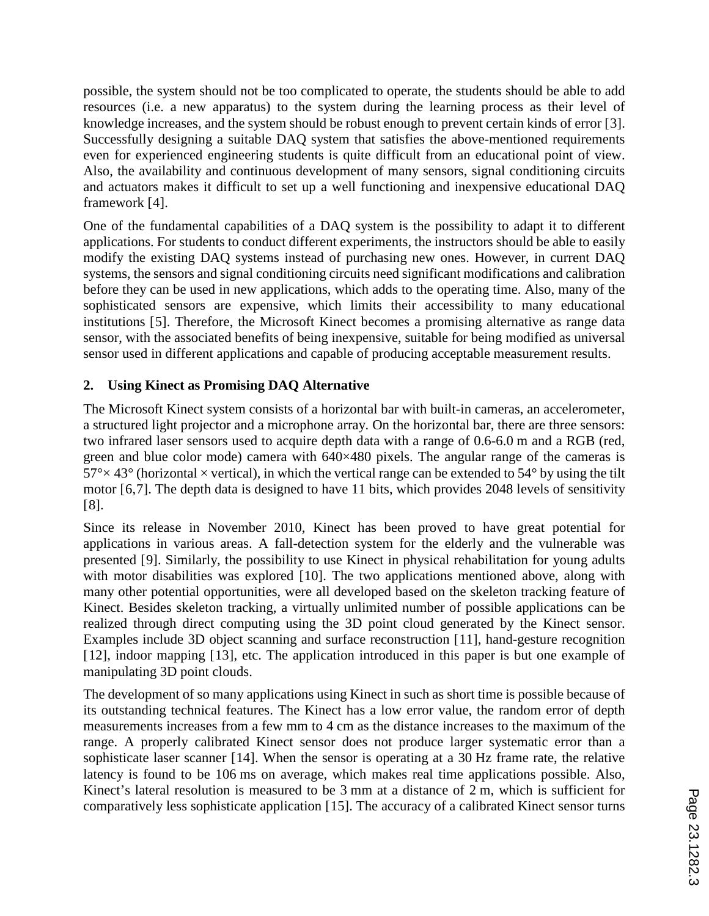possible, the system should not be too complicated to operate, the students should be able to add resources (i.e. a new apparatus) to the system during the learning process as their level of knowledge increases, and the system should be robust enough to prevent certain kinds of error [3]. Successfully designing a suitable DAQ system that satisfies the above-mentioned requirements even for experienced engineering students is quite difficult from an educational point of view. Also, the availability and continuous development of many sensors, signal conditioning circuits and actuators makes it difficult to set up a well functioning and inexpensive educational DAQ framework [4].

One of the fundamental capabilities of a DAQ system is the possibility to adapt it to different applications. For students to conduct different experiments, the instructors should be able to easily modify the existing DAQ systems instead of purchasing new ones. However, in current DAQ systems, the sensors and signal conditioning circuits need significant modifications and calibration before they can be used in new applications, which adds to the operating time. Also, many of the sophisticated sensors are expensive, which limits their accessibility to many educational institutions [5]. Therefore, the Microsoft Kinect becomes a promising alternative as range data sensor, with the associated benefits of being inexpensive, suitable for being modified as universal sensor used in different applications and capable of producing acceptable measurement results.

### **2. Using Kinect as Promising DAQ Alternative**

The Microsoft Kinect system consists of a horizontal bar with built-in cameras, an accelerometer, a structured light projector and a microphone array. On the horizontal bar, there are three sensors: two infrared laser sensors used to acquire depth data with a range of 0.6-6.0 m and a RGB (red, green and blue color mode) camera with 640×480 pixels. The angular range of the cameras is  $57^{\circ} \times 43^{\circ}$  (horizontal  $\times$  vertical), in which the vertical range can be extended to 54° by using the tilt motor [6,7]. The depth data is designed to have 11 bits, which provides 2048 levels of sensitivity [8].

Since its release in November 2010, Kinect has been proved to have great potential for applications in various areas. A fall-detection system for the elderly and the vulnerable was presented [9]. Similarly, the possibility to use Kinect in physical rehabilitation for young adults with motor disabilities was explored [10]. The two applications mentioned above, along with many other potential opportunities, were all developed based on the skeleton tracking feature of Kinect. Besides skeleton tracking, a virtually unlimited number of possible applications can be realized through direct computing using the 3D point cloud generated by the Kinect sensor. Examples include 3D object scanning and surface reconstruction [11], hand-gesture recognition [12], indoor mapping [13], etc. The application introduced in this paper is but one example of manipulating 3D point clouds.

The development of so many applications using Kinect in such as short time is possible because of its outstanding technical features. The Kinect has a low error value, the random error of depth measurements increases from a few mm to 4 cm as the distance increases to the maximum of the range. A properly calibrated Kinect sensor does not produce larger systematic error than a sophisticate laser scanner [14]. When the sensor is operating at a 30 Hz frame rate, the relative latency is found to be 106 ms on average, which makes real time applications possible. Also, Kinect's lateral resolution is measured to be 3 mm at a distance of 2 m, which is sufficient for comparatively less sophisticate application [15]. The accuracy of a calibrated Kinect sensor turns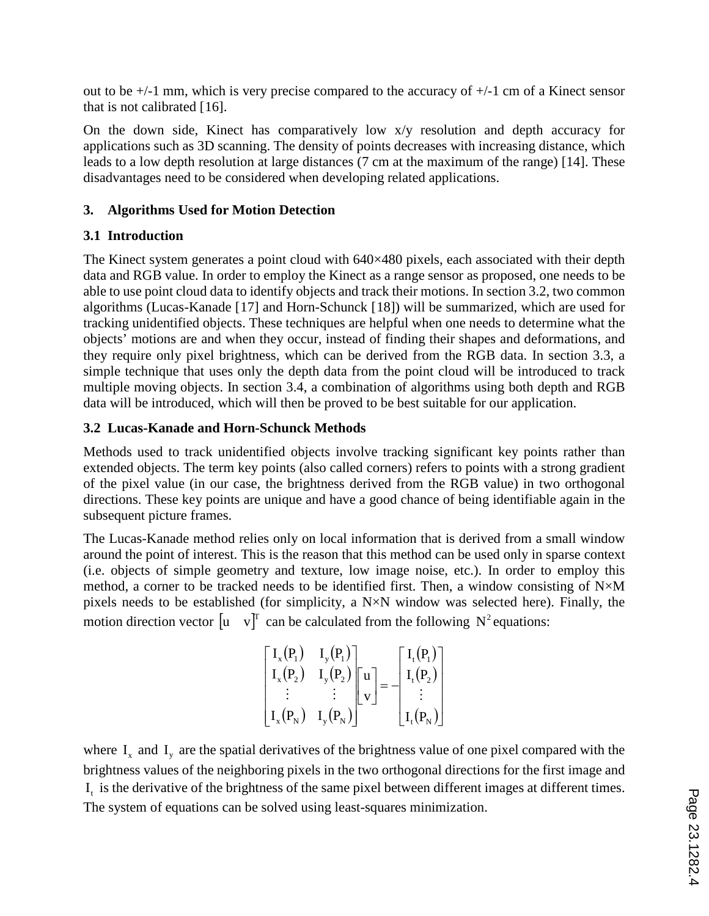out to be +/-1 mm, which is very precise compared to the accuracy of +/-1 cm of a Kinect sensor that is not calibrated [16].

On the down side, Kinect has comparatively low x/y resolution and depth accuracy for applications such as 3D scanning. The density of points decreases with increasing distance, which leads to a low depth resolution at large distances (7 cm at the maximum of the range) [14]. These disadvantages need to be considered when developing related applications.

### **3. Algorithms Used for Motion Detection**

### **3.1 Introduction**

The Kinect system generates a point cloud with 640×480 pixels, each associated with their depth data and RGB value. In order to employ the Kinect as a range sensor as proposed, one needs to be able to use point cloud data to identify objects and track their motions. In section 3.2, two common algorithms (Lucas-Kanade [17] and Horn-Schunck [18]) will be summarized, which are used for tracking unidentified objects. These techniques are helpful when one needs to determine what the objects' motions are and when they occur, instead of finding their shapes and deformations, and they require only pixel brightness, which can be derived from the RGB data. In section 3.3, a simple technique that uses only the depth data from the point cloud will be introduced to track multiple moving objects. In section 3.4, a combination of algorithms using both depth and RGB data will be introduced, which will then be proved to be best suitable for our application.

### **3.2 Lucas-Kanade and Horn-Schunck Methods**

Methods used to track unidentified objects involve tracking significant key points rather than extended objects. The term key points (also called corners) refers to points with a strong gradient of the pixel value (in our case, the brightness derived from the RGB value) in two orthogonal directions. These key points are unique and have a good chance of being identifiable again in the subsequent picture frames.

The Lucas-Kanade method relies only on local information that is derived from a small window around the point of interest. This is the reason that this method can be used only in sparse context (i.e. objects of simple geometry and texture, low image noise, etc.). In order to employ this method, a corner to be tracked needs to be identified first. Then, a window consisting of N×M pixels needs to be established (for simplicity, a N×N window was selected here). Finally, the motion direction vector  $\begin{bmatrix} u & v \end{bmatrix}^T$  can be calculated from the following  $N^2$  equations:

| $\begin{bmatrix} I_x(P_1) & I_y(P_1) \end{bmatrix}$                                                           |                                                                   | $\begin{bmatrix} \mathrm{I_t}\mathrm{(P_1)} \\ \mathrm{I_t}\mathrm{(P_2)} \\ \vdots \end{bmatrix}$ |
|---------------------------------------------------------------------------------------------------------------|-------------------------------------------------------------------|----------------------------------------------------------------------------------------------------|
| $I_{x}(P_{2})$                                                                                                | $\mathrm{I}_\mathrm{y}(\mathrm{P}_2)\,\big\ \,\mathrm{u}\,\big\ $ |                                                                                                    |
|                                                                                                               |                                                                   |                                                                                                    |
| $\left  \right. {\rm I}_{\rm x}\big( {\rm P}_{\rm N}\big)$ ${\rm I}_{\rm y}\big( {\rm P}_{\rm N}\big)\right $ |                                                                   | $\left\lfloor \mathrm{I}_\mathrm{t}(\mathrm{P}_{\mathrm{N}})\right\rfloor$                         |

where  $I_x$  and  $I_y$  are the spatial derivatives of the brightness value of one pixel compared with the brightness values of the neighboring pixels in the two orthogonal directions for the first image and I, is the derivative of the brightness of the same pixel between different images at different times. The system of equations can be solved using least-squares minimization.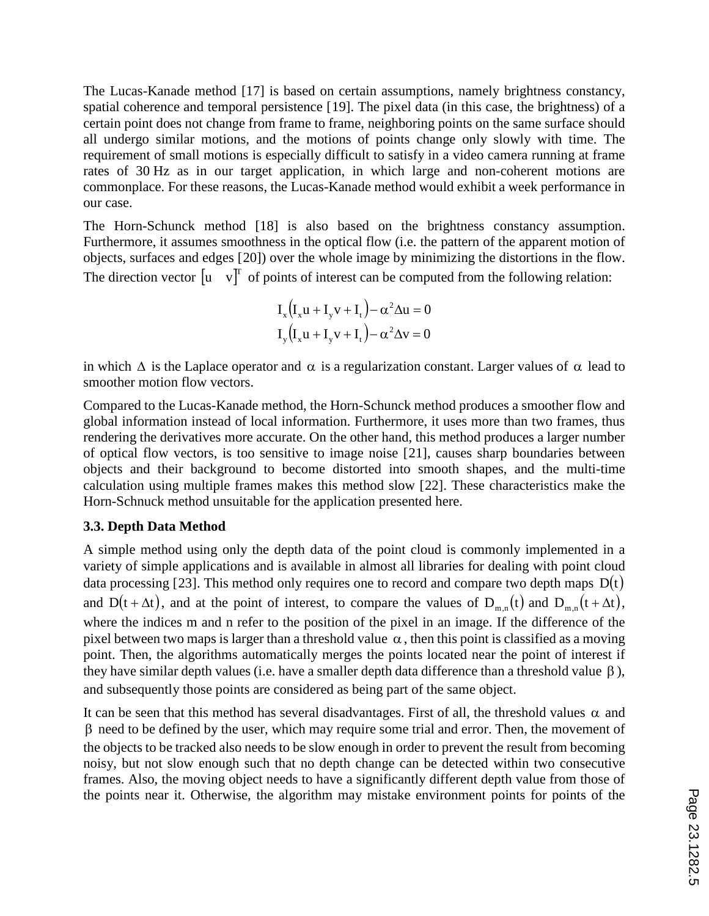The Lucas-Kanade method [17] is based on certain assumptions, namely brightness constancy, spatial coherence and temporal persistence [19]. The pixel data (in this case, the brightness) of a certain point does not change from frame to frame, neighboring points on the same surface should all undergo similar motions, and the motions of points change only slowly with time. The requirement of small motions is especially difficult to satisfy in a video camera running at frame rates of 30 Hz as in our target application, in which large and non-coherent motions are commonplace. For these reasons, the Lucas-Kanade method would exhibit a week performance in our case.

The Horn-Schunck method [18] is also based on the brightness constancy assumption. Furthermore, it assumes smoothness in the optical flow (i.e. the pattern of the apparent motion of objects, surfaces and edges [20]) over the whole image by minimizing the distortions in the flow. The direction vector  $\begin{bmatrix} u & v \end{bmatrix}^T$  of points of interest can be computed from the following relation:

$$
I_x(I_xu + I_yv + I_t) - \alpha^2 \Delta u = 0
$$
  

$$
I_y(I_xu + I_yv + I_t) - \alpha^2 \Delta v = 0
$$

in which  $\Delta$  is the Laplace operator and  $\alpha$  is a regularization constant. Larger values of  $\alpha$  lead to smoother motion flow vectors.

Compared to the Lucas-Kanade method, the Horn-Schunck method produces a smoother flow and global information instead of local information. Furthermore, it uses more than two frames, thus rendering the derivatives more accurate. On the other hand, this method produces a larger number of optical flow vectors, is too sensitive to image noise [21], causes sharp boundaries between objects and their background to become distorted into smooth shapes, and the multi-time calculation using multiple frames makes this method slow [22]. These characteristics make the Horn-Schnuck method unsuitable for the application presented here.

### **3.3. Depth Data Method**

A simple method using only the depth data of the point cloud is commonly implemented in a variety of simple applications and is available in almost all libraries for dealing with point cloud data processing [23]. This method only requires one to record and compare two depth maps  $D(t)$ and D(t +  $\Delta t$ ), and at the point of interest, to compare the values of D<sub>m,n</sub>(t) and D<sub>m,n</sub> (t +  $\Delta t$ ), where the indices m and n refer to the position of the pixel in an image. If the difference of the pixel between two maps is larger than a threshold value  $\alpha$ , then this point is classified as a moving point. Then, the algorithms automatically merges the points located near the point of interest if they have similar depth values (i.e. have a smaller depth data difference than a threshold value  $\beta$ ), and subsequently those points are considered as being part of the same object.

It can be seen that this method has several disadvantages. First of all, the threshold values  $\alpha$  and β need to be defined by the user, which may require some trial and error. Then, the movement of the objects to be tracked also needs to be slow enough in order to prevent the result from becoming noisy, but not slow enough such that no depth change can be detected within two consecutive frames. Also, the moving object needs to have a significantly different depth value from those of the points near it. Otherwise, the algorithm may mistake environment points for points of the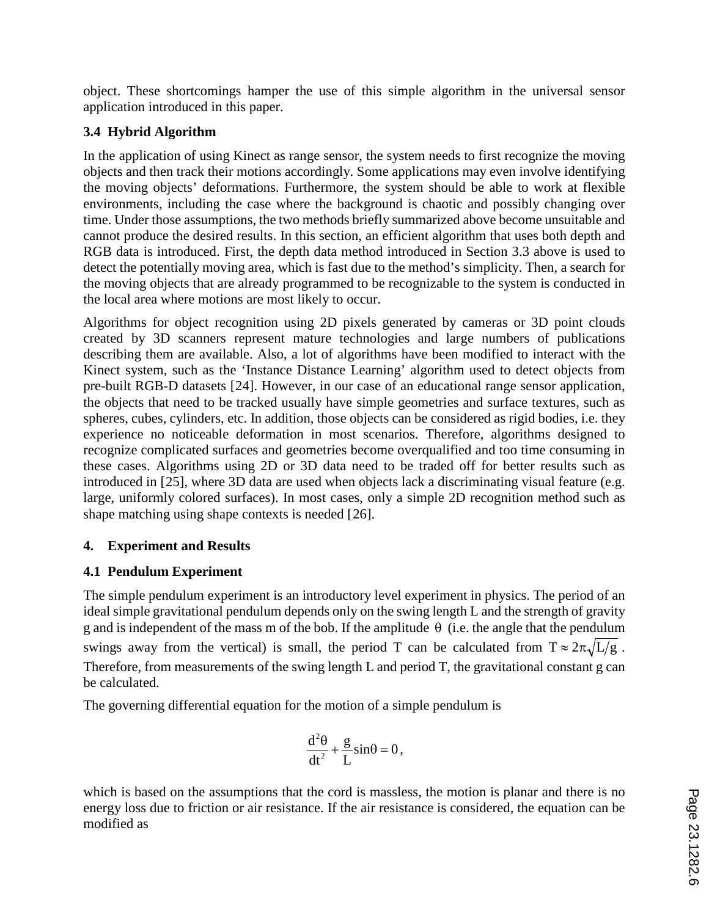object. These shortcomings hamper the use of this simple algorithm in the universal sensor application introduced in this paper.

## **3.4 Hybrid Algorithm**

In the application of using Kinect as range sensor, the system needs to first recognize the moving objects and then track their motions accordingly. Some applications may even involve identifying the moving objects' deformations. Furthermore, the system should be able to work at flexible environments, including the case where the background is chaotic and possibly changing over time. Under those assumptions, the two methods briefly summarized above become unsuitable and cannot produce the desired results. In this section, an efficient algorithm that uses both depth and RGB data is introduced. First, the depth data method introduced in Section 3.3 above is used to detect the potentially moving area, which is fast due to the method's simplicity. Then, a search for the moving objects that are already programmed to be recognizable to the system is conducted in the local area where motions are most likely to occur.

Algorithms for object recognition using 2D pixels generated by cameras or 3D point clouds created by 3D scanners represent mature technologies and large numbers of publications describing them are available. Also, a lot of algorithms have been modified to interact with the Kinect system, such as the 'Instance Distance Learning' algorithm used to detect objects from pre-built RGB-D datasets [24]. However, in our case of an educational range sensor application, the objects that need to be tracked usually have simple geometries and surface textures, such as spheres, cubes, cylinders, etc. In addition, those objects can be considered as rigid bodies, i.e. they experience no noticeable deformation in most scenarios. Therefore, algorithms designed to recognize complicated surfaces and geometries become overqualified and too time consuming in these cases. Algorithms using 2D or 3D data need to be traded off for better results such as introduced in [25], where 3D data are used when objects lack a discriminating visual feature (e.g. large, uniformly colored surfaces). In most cases, only a simple 2D recognition method such as shape matching using shape contexts is needed [26].

### **4. Experiment and Results**

# **4.1 Pendulum Experiment**

The simple pendulum experiment is an introductory level experiment in physics. The period of an ideal simple gravitational pendulum depends only on the swing length L and the strength of gravity g and is independent of the mass m of the bob. If the amplitude  $\theta$  (i.e. the angle that the pendulum swings away from the vertical) is small, the period T can be calculated from  $T \approx 2\pi \sqrt{L/g}$ . Therefore, from measurements of the swing length L and period T, the gravitational constant g can be calculated.

The governing differential equation for the motion of a simple pendulum is

$$
\frac{d^2\theta}{dt^2} + \frac{g}{L}\sin\theta = 0,
$$

which is based on the assumptions that the cord is massless, the motion is planar and there is no energy loss due to friction or air resistance. If the air resistance is considered, the equation can be modified as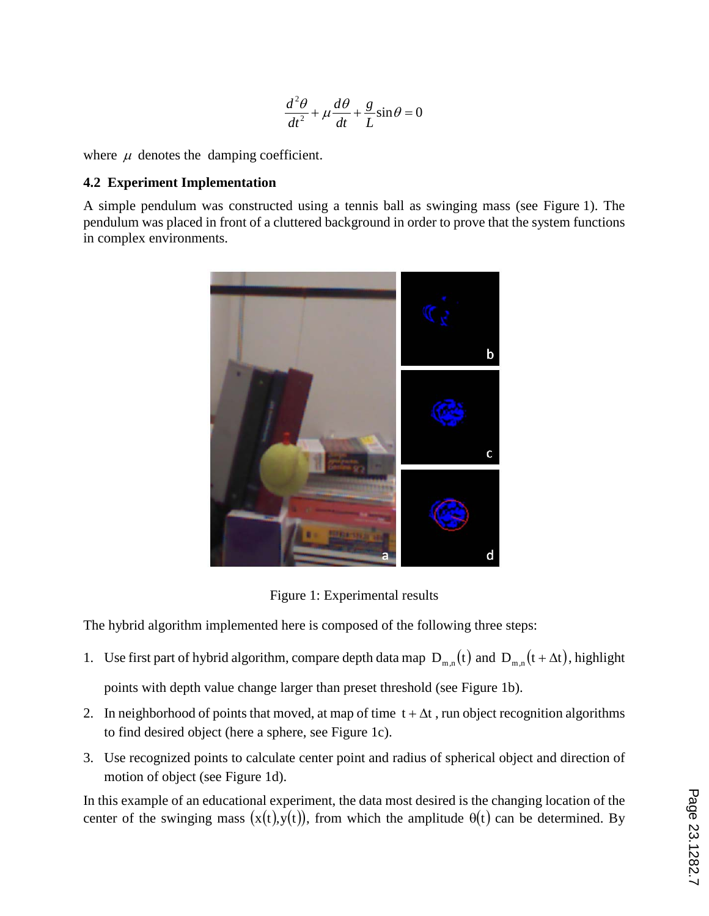$$
\frac{d^2\theta}{dt^2} + \mu \frac{d\theta}{dt} + \frac{g}{L}\sin\theta = 0
$$

where  $\mu$  denotes the damping coefficient.

#### **4.2 Experiment Implementation**

A simple pendulum was constructed using a tennis ball as swinging mass (see Figure 1). The pendulum was placed in front of a cluttered background in order to prove that the system functions in complex environments.



Figure 1: Experimental results

The hybrid algorithm implemented here is composed of the following three steps:

- 1. Use first part of hybrid algorithm, compare depth data map  $D_{m,n}(t)$  and  $D_{m,n}(t + \Delta t)$ , highlight points with depth value change larger than preset threshold (see Figure 1b).
- 2. In neighborhood of points that moved, at map of time  $t + \Delta t$ , run object recognition algorithms to find desired object (here a sphere, see Figure 1c).
- 3. Use recognized points to calculate center point and radius of spherical object and direction of motion of object (see Figure 1d).

In this example of an educational experiment, the data most desired is the changing location of the center of the swinging mass  $(x(t),y(t))$ , from which the amplitude  $\theta(t)$  can be determined. By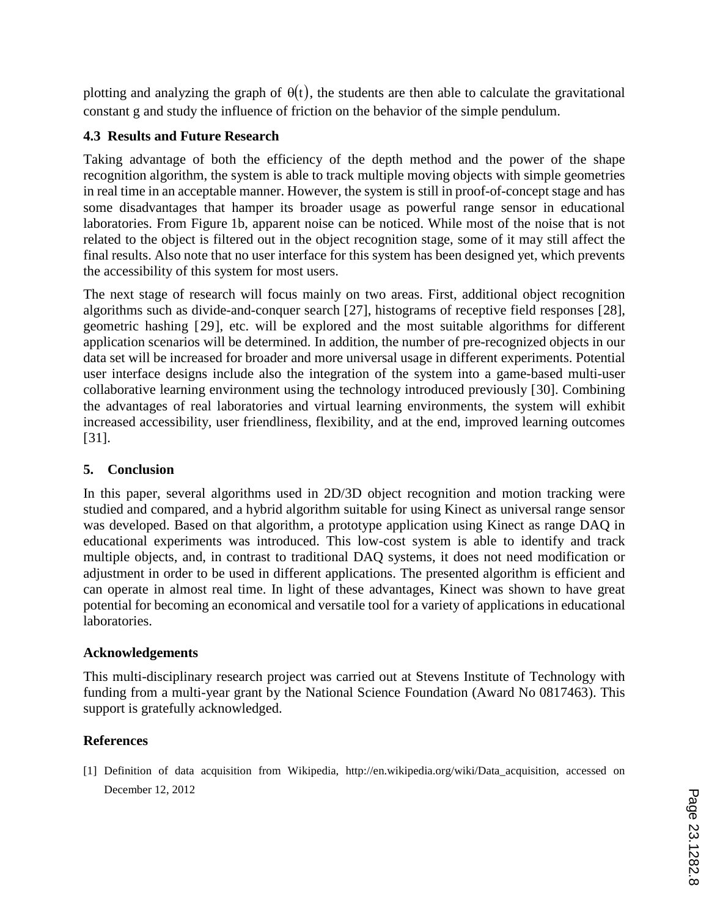plotting and analyzing the graph of  $\theta(t)$ , the students are then able to calculate the gravitational constant g and study the influence of friction on the behavior of the simple pendulum.

### **4.3 Results and Future Research**

Taking advantage of both the efficiency of the depth method and the power of the shape recognition algorithm, the system is able to track multiple moving objects with simple geometries in real time in an acceptable manner. However, the system is still in proof-of-concept stage and has some disadvantages that hamper its broader usage as powerful range sensor in educational laboratories. From Figure 1b, apparent noise can be noticed. While most of the noise that is not related to the object is filtered out in the object recognition stage, some of it may still affect the final results. Also note that no user interface for this system has been designed yet, which prevents the accessibility of this system for most users.

The next stage of research will focus mainly on two areas. First, additional object recognition algorithms such as divide-and-conquer search [27], histograms of receptive field responses [28], geometric hashing [29], etc. will be explored and the most suitable algorithms for different application scenarios will be determined. In addition, the number of pre-recognized objects in our data set will be increased for broader and more universal usage in different experiments. Potential user interface designs include also the integration of the system into a game-based multi-user collaborative learning environment using the technology introduced previously [30]. Combining the advantages of real laboratories and virtual learning environments, the system will exhibit increased accessibility, user friendliness, flexibility, and at the end, improved learning outcomes [31].

### **5. Conclusion**

In this paper, several algorithms used in 2D/3D object recognition and motion tracking were studied and compared, and a hybrid algorithm suitable for using Kinect as universal range sensor was developed. Based on that algorithm, a prototype application using Kinect as range DAQ in educational experiments was introduced. This low-cost system is able to identify and track multiple objects, and, in contrast to traditional DAQ systems, it does not need modification or adjustment in order to be used in different applications. The presented algorithm is efficient and can operate in almost real time. In light of these advantages, Kinect was shown to have great potential for becoming an economical and versatile tool for a variety of applications in educational laboratories.

### **Acknowledgements**

This multi-disciplinary research project was carried out at Stevens Institute of Technology with funding from a multi-year grant by the National Science Foundation (Award No 0817463). This support is gratefully acknowledged.

### **References**

[1] Definition of data acquisition from Wikipedia, http://en.wikipedia.org/wiki/Data\_acquisition, accessed on December 12, 2012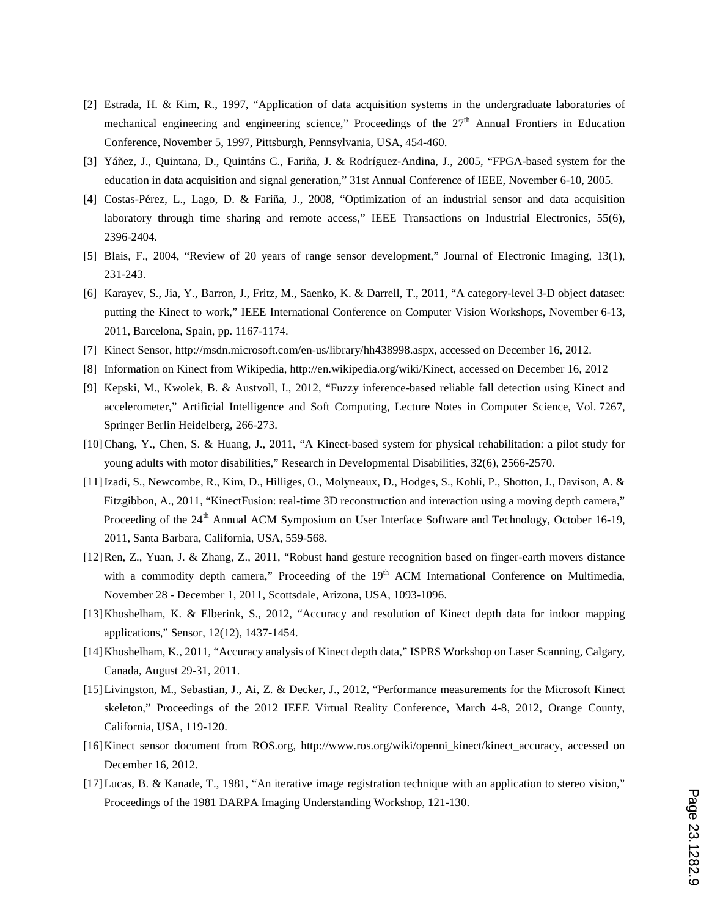- [2] Estrada, H. & Kim, R., 1997, "Application of data acquisition systems in the undergraduate laboratories of mechanical engineering and engineering science," Proceedings of the  $27<sup>th</sup>$  Annual Frontiers in Education Conference, November 5, 1997, Pittsburgh, Pennsylvania, USA, 454-460.
- [3] Yáñez, J., Quintana, D., Quintáns C., Fariña, J. & Rodríguez-Andina, J., 2005, "FPGA-based system for the education in data acquisition and signal generation," 31st Annual Conference of IEEE, November 6-10, 2005.
- [4] Costas-Pérez, L., Lago, D. & Fariña, J., 2008, "Optimization of an industrial sensor and data acquisition laboratory through time sharing and remote access," IEEE Transactions on Industrial Electronics, 55(6), 2396-2404.
- [5] Blais, F., 2004, "Review of 20 years of range sensor development," Journal of Electronic Imaging, 13(1), 231-243.
- [6] Karayev, S., Jia, Y., Barron, J., Fritz, M., Saenko, K. & Darrell, T., 2011, "A category-level 3-D object dataset: putting the Kinect to work," IEEE International Conference on Computer Vision Workshops, November 6-13, 2011, Barcelona, Spain, pp. 1167-1174.
- [7] Kinect Sensor, http://msdn.microsoft.com/en-us/library/hh438998.aspx, accessed on December 16, 2012.
- [8] Information on Kinect from Wikipedia, http://en.wikipedia.org/wiki/Kinect, accessed on December 16, 2012
- [9] Kepski, M., Kwolek, B. & Austvoll, I., 2012, "Fuzzy inference-based reliable fall detection using Kinect and accelerometer," Artificial Intelligence and Soft Computing, Lecture Notes in Computer Science, Vol. 7267, Springer Berlin Heidelberg, 266-273.
- [10]Chang, Y., Chen, S. & Huang, J., 2011, "A Kinect-based system for physical rehabilitation: a pilot study for young adults with motor disabilities," Research in Developmental Disabilities, 32(6), 2566-2570.
- [11]Izadi, S., Newcombe, R., Kim, D., Hilliges, O., Molyneaux, D., Hodges, S., Kohli, P., Shotton, J., Davison, A. & Fitzgibbon, A., 2011, "KinectFusion: real-time 3D reconstruction and interaction using a moving depth camera," Proceeding of the 24<sup>th</sup> Annual ACM Symposium on User Interface Software and Technology, October 16-19, 2011, Santa Barbara, California, USA, 559-568.
- [12]Ren, Z., Yuan, J. & Zhang, Z., 2011, "Robust hand gesture recognition based on finger-earth movers distance with a commodity depth camera," Proceeding of the 19<sup>th</sup> ACM International Conference on Multimedia, November 28 - December 1, 2011, Scottsdale, Arizona, USA, 1093-1096.
- [13]Khoshelham, K. & Elberink, S., 2012, "Accuracy and resolution of Kinect depth data for indoor mapping applications," Sensor, 12(12), 1437-1454.
- [14]Khoshelham, K., 2011, "Accuracy analysis of Kinect depth data," ISPRS Workshop on Laser Scanning, Calgary, Canada, August 29-31, 2011.
- [15]Livingston, M., Sebastian, J., Ai, Z. & Decker, J., 2012, "Performance measurements for the Microsoft Kinect skeleton," Proceedings of the 2012 IEEE Virtual Reality Conference, March 4-8, 2012, Orange County, California, USA, 119-120.
- [16]Kinect sensor document from ROS.org, http://www.ros.org/wiki/openni\_kinect/kinect\_accuracy, accessed on December 16, 2012.
- [17]Lucas, B. & Kanade, T., 1981, "An iterative image registration technique with an application to stereo vision," Proceedings of the 1981 DARPA Imaging Understanding Workshop, 121-130.